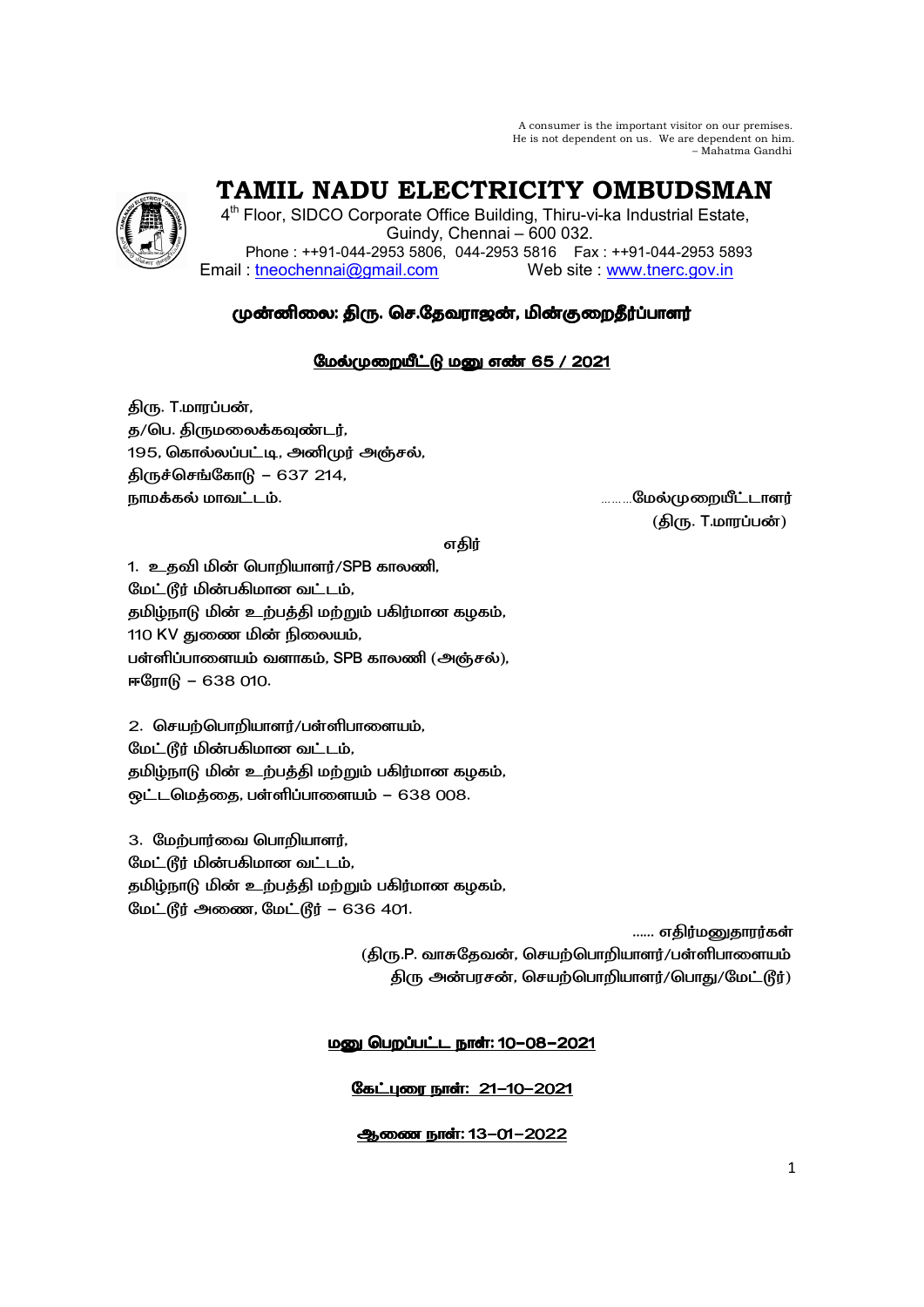A consumer is the important visitor on our premises. He is not dependent on us. We are dependent on him. – Mahatma Gandhi

 **TAMIL NADU ELECTRICITY OMBUDSMAN** 

4<sup>th</sup> Floor, SIDCO Corporate Office Building, Thiru-vi-ka Industrial Estate, Guindy, Chennai – 600 032. Phone : ++91-044-2953 5806, 044-2953 5816 Fax : ++91-044-2953 5893 Email: tneochennai@gmail.com Web site : www.tnerc.gov.in

# முன்னிலை: திரு. செ.தேவராஜன், மின்குறைதீர்ப்பாளர்

## மேல்முறையீட்டு மனு எண் 65 / 2021

திரு. T.மாரப்பன், த/பெ. திருமலைக்கவுண்டர், 195, கொல்லப்பட்டி, அனிமுர் அஞ்சல், திருச்செங்கோடு – 637 214, 9+, .:. ………
.

( . T.-)

எகிர்

1. உதவி மின் பொறியாளர்/SPB காலணி, மேட்டூர் மின்பகிமான வட்டம், தமிழ்நாடு மின் உற்பத்தி மற்றும் பகிர்மான கழகம், 110 KV துணை மின் நிலையம், பள்ளிப்பாளையம் வளாகம், SPB காலணி (அஞ்சல்), ஈரோடு - 638 010.

 $2.$  செயற்பொறியாளர்/பள்ளிபாளையம், மேட்டூர் மின்பகிமான வட்டம், தமிழ்நாடு மின் உற்பத்தி மற்றும் பகிர்மான கழகம், ஒட்டமெத்தை, பள்ளிப்பாளையம் – 638 008.

3. மேற்பார்வை பொறியாளர், மேட்டூர் மின்பகிமான வட்டம், தமிழ்நாடு மின் உற்பத்தி மற்றும் பகிர்மான கழகம், மேட்டூர் அணை, மேட்டூர் – 636 401.

...... எகிர்மனுகாரர்கள் (திரு.P. வாசுதேவன், செயற்பொறியாளர்/பள்ளிபாளையம் திரு அன்பரசன், செயற்பொறியாளர்/பொது/மேட்டூர்)

## <u> மனு பெறப்பட்ட நாள்: 10-08-2021</u>

## கேட்புரை நாள்: 21-10-2021

## ஆணை நாள்: 13-01-2022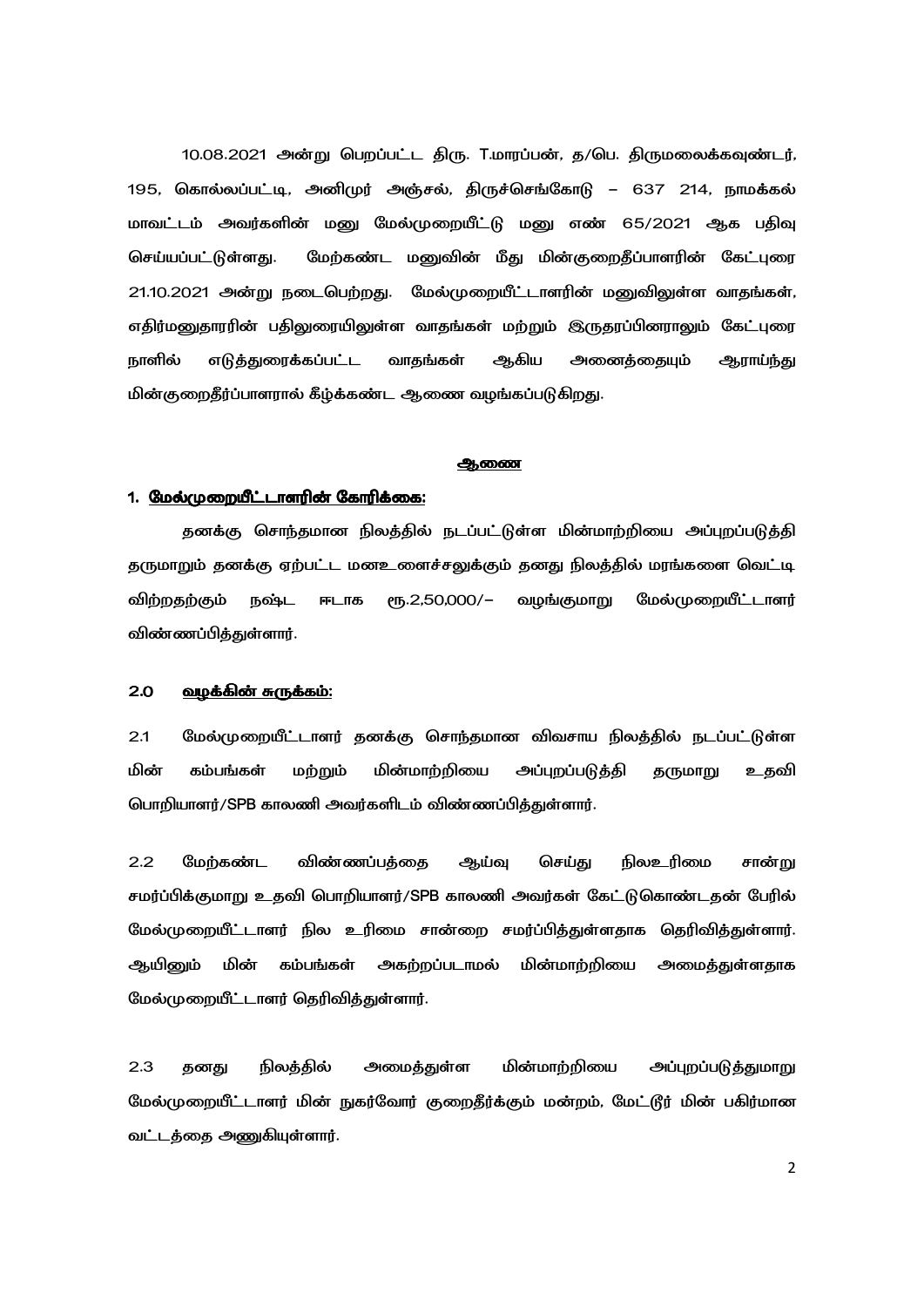10.08.2021 அன்று பெறப்பட்ட திரு. T.மாரப்பன், த/பெ. திருமலைக்கவுண்டர், 195, கொல்லப்பட்டி, அனிமுர் அஞ்சல், திருச்செங்கோடு – 637 214, நாமக்கல் மாவட்டம் அவர்களின் மனு மேல்முறையீட்டு மனு எண் 65/2021 ஆக பதிவு செய்யப்பட்டுள்ளது. மேற்கண்ட மனுவின் மீது மின்குறைதீப்பாளரின் கேட்புரை 21.10.2021 அன்று நடைபெற்றது. மேல்முறையீட்டாளரின் மனுவிலுள்ள வாதங்கள், எதிர்மனுதாரரின் பதிலுரையிலுள்ள வாதங்கள் மற்றும் இருதரப்பினராலும் கேட்புரை நாளில் எடுத்துரைக்கப்பட்ட வாதங்கள் ஆகிய அனைத்தையும் ஆராய்ந்து மின்குறைதீர்ப்பாளரால் கீழ்க்கண்ட ஆணை வழங்கப்படுகிறது.

### <u>ஆணை</u>

### 1. <u>மேல்முறையீட்டாளரின் கோரிக்கை:</u>

தனக்கு சொந்தமான நிலத்தில் நடப்பட்டுள்ள மின்மாற்றியை அப்புறப்படுத்தி தருமாறும் தனக்கு ஏற்பட்ட மனஉளைச்சலுக்கும் தனது நிலத்தில் மரங்களை வெட்டி விற்றதற்கும் நஷ்ட ஈடாக ரூ.2,50,000/— வழங்குமாறு மேல்முறையீட்டாளர் விண்ணப்பித்துள்ளார்.

### <u>2.0 வழக்கின் சுருக்கம்:</u>

2.1 மேல்முறையீட்டாளர் தனக்கு சொந்தமான விவசாய நிலத்தில் நடப்பட்டுள்ள மின் கம்பங்கள் மற்றும் மின்மாற்றியை அப்புறப்படுத்தி தருமாறு உதவி பொறியாளர்/SPB காலணி அவர்களிடம் விண்ணப்பித்துள்ளார்.

2.2 மேற்கண்ட விண்ணப்பக்கை ஆய்வு செய்து நிலஉரிமை சான்று சமர்ப்பிக்குமாறு உதவி பொறியாளர்/SPB காலணி அவர்கள் கேட்டுகொண்டதன் பேரில் மேல்முறையீட்டாளர் நில உரிமை சான்றை சமர்ப்பித்துள்ளதாக தெரிவித்துள்ளார். ஆயினும் மின் கம்பங்கள் அகற்றப்படாமல் மின்மாற்றியை அமைத்துள்ளதாக மேல்முறையீட்டாளர் தெரிவித்துள்ளார்.

2.3 தனது நிலத்தில் அமைத்துள்ள மின்மாற்றியை அப்புறப்படுத்துமாறு மேல்முறையீட்டாளர் மின் நுகர்வோர் குறைதீர்க்கும் மன்றம், மேட்டூர் மின் பகிர்மான வட்டத்தை அணுகியுள்ளார்.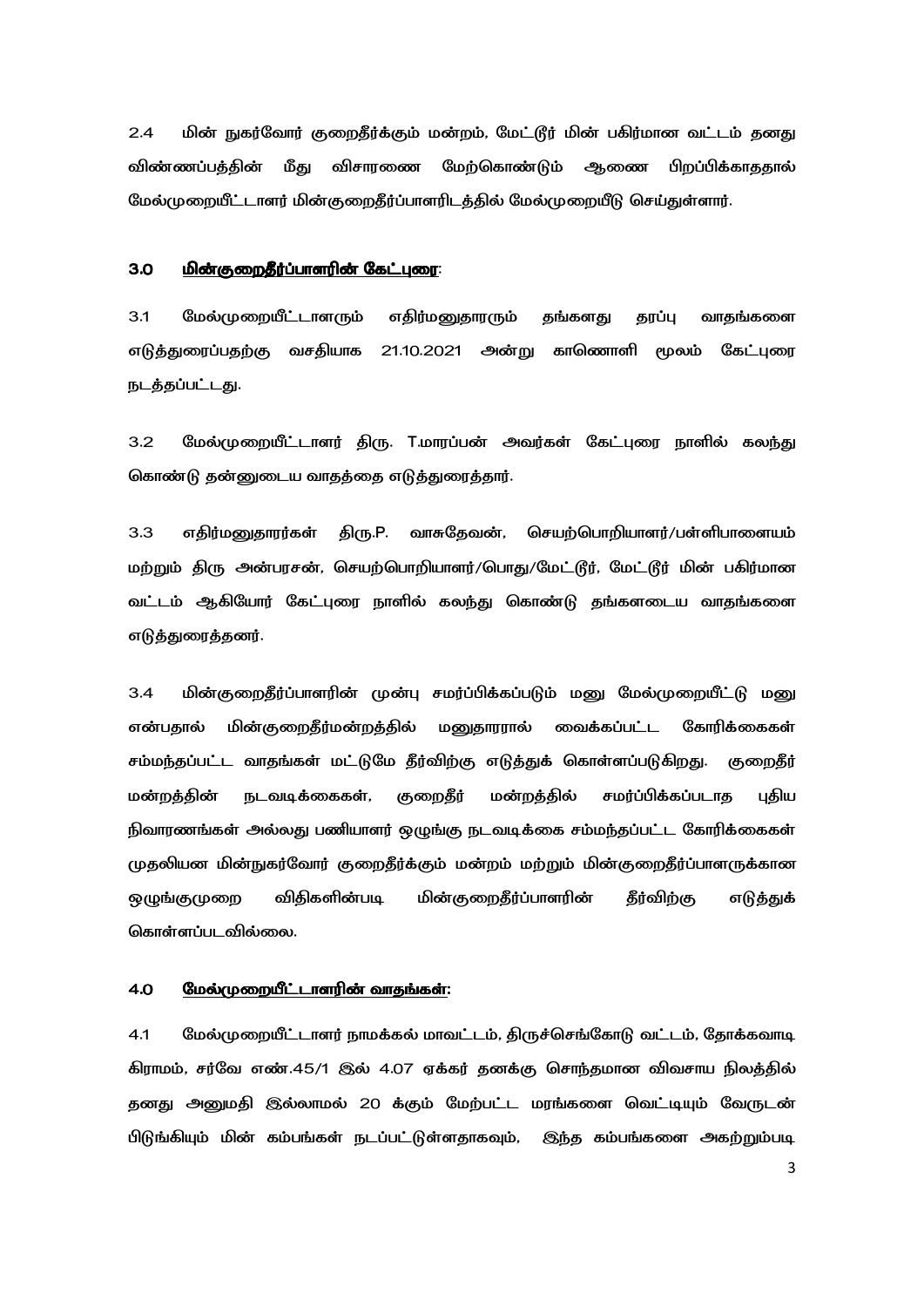மின் நுகர்வோர் குறைதீர்க்கும் மன்றம், மேட்டூர் மின் பகிர்மான வட்டம் தனது  $2.4$ மீது விசாரணை விண்ணப்பக்கின் மேற்கொண்டும் ஆணை பிறப்பிக்காததால் மேல்முறையீட்டாளர் மின்குறைதீர்ப்பாளரிடத்தில் மேல்முறையீடு செய்துள்ளார்.

### $3.0$ <u>மின்குறைதீர்ப்பாளரின் கேட்புரை:</u>

 $3.1$ மேல்முறையீட்டாளரும் எதிர்மனுதாரரும் தங்களது தரப்பு வாதங்களை எடுத்துரைப்பதற்கு வசதியாக 21.10.2021 அன்று காணொளி மூலம் கேட்புரை நடத்தப்பட்டது.

மேல்முறையீட்டாளர் திரு. T.மாரப்பன் அவர்கள் கேட்புரை நாளில் கலந்து  $3.2$ கொண்டு தன்னுடைய வாதத்தை எடுத்துரைத்தார்.

 $3.3$ எதிர்மனுதாரர்கள் திரு.P. வாசுதேவன், செயற்பொறியாளர்/பள்ளிபாளையம் மற்றும் திரு அன்பரசன், செயற்பொறியாளர்/பொது/மேட்டூர், மேட்டூர் மின் பகிர்மான வட்டம் ஆகியோர் கேட்புரை நாளில் கலந்து கொண்டு தங்களடைய வாதங்களை எடுத்துரைத்தனர்.

 $3.4$ மின்குறைதீர்ப்பாளரின் முன்பு சமர்ப்பிக்கப்படும் மனு மேல்முறையீட்டு மனு என்பகால் மின்குறைதீர்மன்றத்தில் மனுதாரரால் வைக்கப்பட்ட கோரிக்கைகள் சம்மந்தப்பட்ட வாதங்கள் மட்டுமே தீர்விற்கு எடுத்துக் கொள்ளப்படுகிறது. குறைதீர் புதிய குறைதீர் மன்றத்தில் சமர்ப்பிக்கப்படாக மன்றக்கின் நடவடிக்கைகள், நிவாரணங்கள் அல்லது பணியாளர் ஒழுங்கு நடவடிக்கை சம்மந்தப்பட்ட கோரிக்கைகள் முதலியன மின்நுகர்வோர் குறைதீர்க்கும் மன்றம் மற்றும் மின்குறைதீர்ப்பாளருக்கான விகிகளின்படி மின்குறைதீர்ப்பாளரின் தீர்விற்கு ஒழுங்குமுறை எடுத்துக் கொள்ளப்படவில்லை.

#### 4.0 <u>மேல்முறையீட்டாளரின் வாதங்கள்:</u>

மேல்முறையீட்டாளர் நாமக்கல் மாவட்டம், திருச்செங்கோடு வட்டம், தோக்கவாடி  $4.1$ கிராமம், சர்வே எண்.45/1 இல் 4.07 ஏக்கர் தனக்கு சொந்தமான விவசாய நிலத்தில் தனது அனுமதி இல்லாமல் 20 க்கும் மேற்பட்ட மரங்களை வெட்டியும் வேருடன் பிடுங்கியும் மின் கம்பங்கள் நடப்பட்டுள்ளதாகவும், இந்த கம்பங்களை அகற்றும்படி

 $\overline{3}$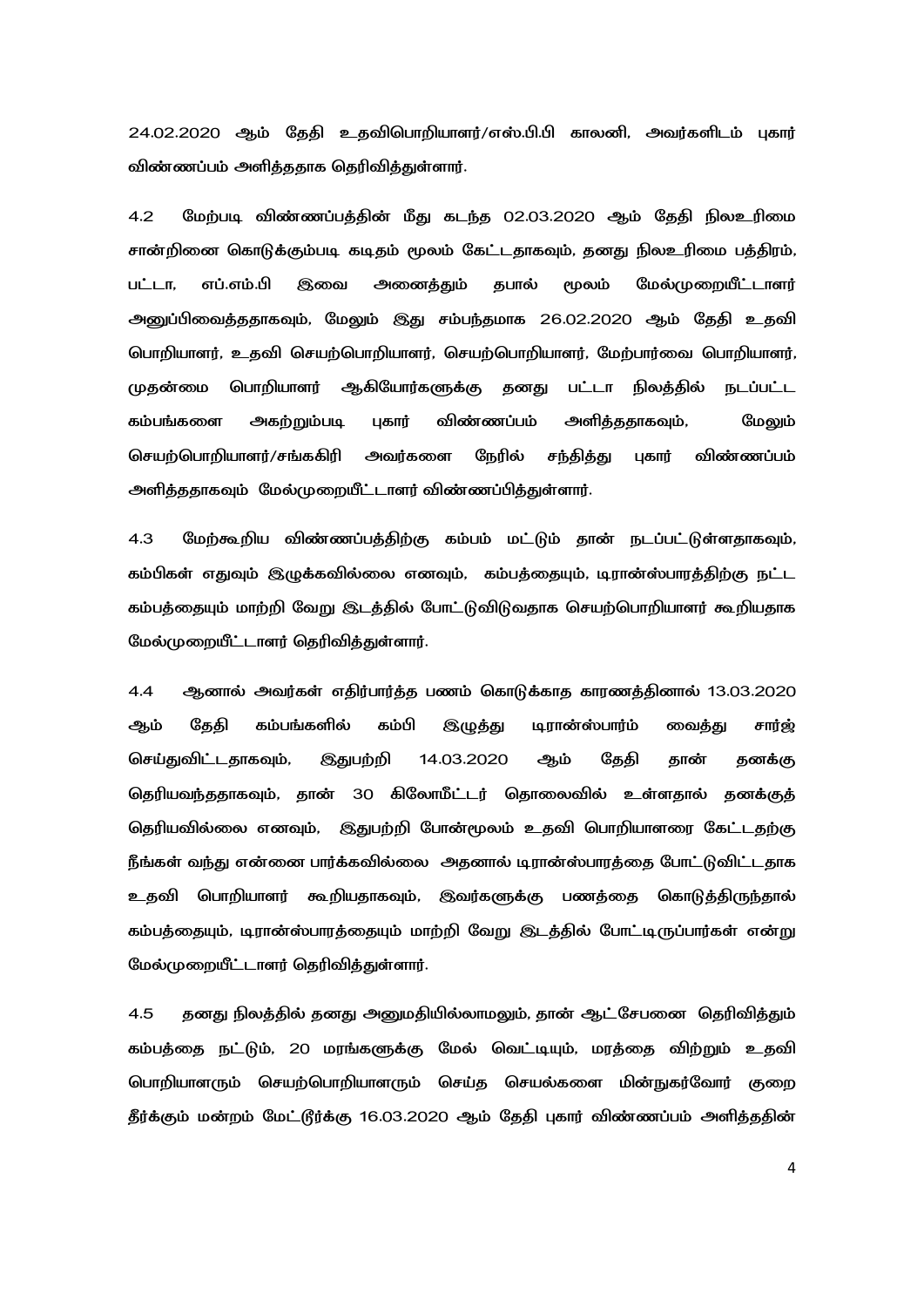24.02.2020 ஆம் தேதி உதவிபொறியாளர்/எஸ்.பி.பி காலனி, அவர்களிடம் புகார் விண்ணப்பம் அளித்ததாக தெரிவித்துள்ளார்.

4.2 மேற்படி விண்ணப்பத்தின் மீது கடந்த 02.03.2020 ஆம் தேதி நிலஉரிமை சான்றினை கொடுக்கும்படி கடிதம் மூலம் கேட்டதாகவும், தனது நிலஉரிமை பத்திரம், பட்டா, எப்.எம்.பி இவை அனைத்தும் தபால் மூலம் மேல்முறையீட்டாளர் அனுப்பிவைத்ததாகவும், மேலும் இது சம்பந்தமாக 26.02.2020 ஆம் தேதி உதவி பொறியாளர், உதவி செயற்பொறியாளர், செயற்பொறியாளர், மேற்பார்வை பொறியாளர், முகன்மை பொறியாளர் ஆகியோர்களுக்கு தனது பட்டா நிலத்தில் நடப்பட்ட கம்பங்களை அகற்றும்படி புகார் விண்ணப்பம் அளிக்கதாகவும், மேலும் செயற்பொறியாளர்/சங்ககிரி அவர்களை நேரில் சந்தித்து புகார் விண்ணப்பம் அளித்ததாகவும் மேல்முறையீட்டாளர் விண்ணப்பித்துள்ளார்.

4.3 மேற்கூறிய விண்ணப்பத்திற்கு கம்பம் மட்டும் தான் நடப்பட்டுள்ளதாகவும், கம்பிகள் எதுவும் இழுக்கவில்லை எனவும், கம்பத்தையும், டிரான்ஸ்பாரத்திற்கு நட்ட கம்பத்தையும் மாற்றி வேறு இடத்தில் போட்டுவிடுவதாக செயற்பொறியாளர் கூறியதாக மேல்முறையீட்டாளர் தெரிவித்துள்ளார்.

4.4 ஆனால் அவர்கள் எதிர்பார்த்த பணம் கொடுக்காத காரணத்தினால் 13.03.2020 ஆம் தேதி கம்பங்களில் கம்பி இழுத்து டிரான்ஸ்பார்ம் வைக்கு சார்ஜ் செய்துவிட்டதாகவும், இதுபற்றி 14.03.2020 ஆம் தேதி தான் தனக்கு தெரியவந்ததாகவும், தான் 30 கிலோமீட்டர் தொலைவில் உள்ளதால் தனக்குத் தெரியவில்லை எனவும், இதுபற்றி போன்மூலம் உதவி பொறியாளரை கேட்டதற்கு நீங்கள் வந்து என்னை பார்க்கவில்லை அதனால் டிரான்ஸ்பாரத்தை போட்டுவிட்டதாக உதவி பொறியாளர் கூறியதாகவும், இவர்களுக்கு பணத்தை கொடுத்திருந்தால் கம்பத்தையும், டிரான்ஸ்பாரத்தையும் மாற்றி வேறு இடத்தில் போட்டிருப்பார்கள் என்று மேல்முறையீட்டாளர் தெரிவித்துள்ளார்.

4.5 தனது நிலத்தில் தனது அனுமதியில்லாமலும், தான் ஆட்சேபனை தெரிவித்தும் கம்பத்தை நட்டும், 20 மரங்களுக்கு மேல் வெட்டியும், மரத்தை விற்றும் உதவி பொறியாளரும் செயற்பொறியாளரும் செய்த செயல்களை மின்நுகர்வோர் குறை தீர்க்கும் மன்றம் மேட்டூர்க்கு 16.03.2020 ஆம் தேதி புகார் விண்ணப்பம் அளித்ததின்

4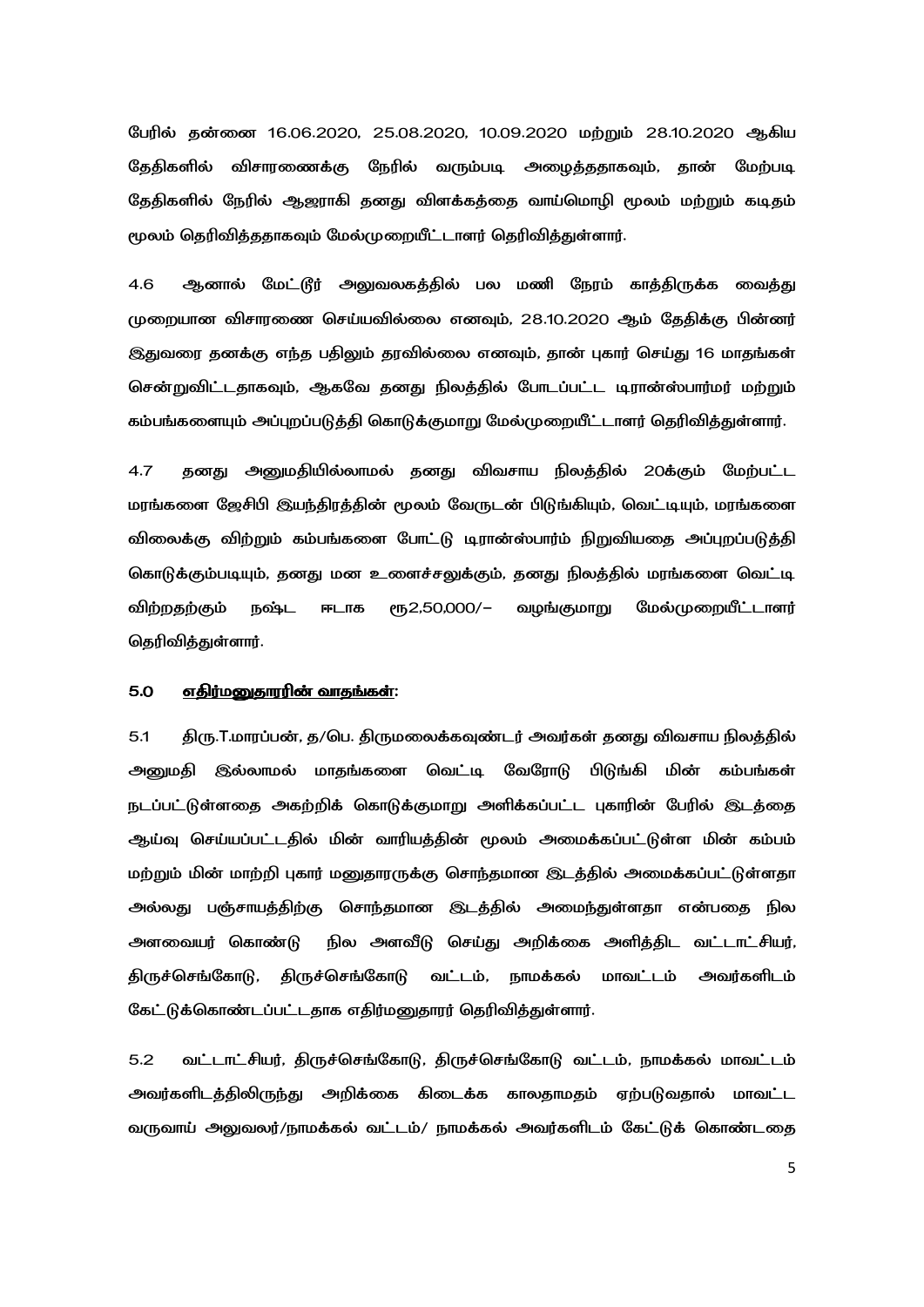பேரில் தன்னை 16.06.2020, 25.08.2020, 10.09.2020 மற்றும் 28.10.2020 ஆகிய தேதிகளில் விசாரணைக்கு நேரில் வரும்படி அழைத்ததாகவும், தான் மேற்படி தேதிகளில் நேரில் ஆஜராகி தனது விளக்கத்தை வாய்மொழி மூலம் மற்றும் கடிதம் மூலம் தெரிவித்ததாகவும் மேல்முறையீட்டாளர் தெரிவித்துள்ளார்.

4.6 ஆனால் மேட்டூர் அலுவலகத்தில் பல மணி நேரம் காத்திருக்க வைத்து முறையான விசாரணை செய்யவில்லை எனவும், 28.10.2020 ஆம் தேதிக்கு பின்னர் இதுவரை தனக்கு எந்த பதிலும் தரவில்லை எனவும், தான் புகார் செய்து 16 மாதங்கள் சென்றுவிட்டதாகவும், ஆகவே தனது நிலத்தில் போடப்பட்ட டிரான்ஸ்பார்மர் மற்றும் கம்பங்களையும் அப்புறப்படுத்தி கொடுக்குமாறு மேல்முறையீட்டாளர் தெரிவித்துள்ளார்.

4.7 கனது அனுமதியில்லாமல் தனது விவசாய நிலத்தில் 20க்கும் மேற்பட்ட மரங்களை ஜேசிபி இயந்திரத்தின் மூலம் வேருடன் பிடுங்கியும், வெட்டியும், மரங்களை விலைக்கு விற்றும் கம்பங்களை போட்டு டிரான்ஸ்பார்ம் நிறுவியதை அப்புறப்படுத்தி கொடுக்கும்படியும், தனது மன உளைச்சலுக்கும், தனது நிலத்தில் மரங்களை வெட்டி விற்றதற்கும் நஷ்ட ஈடாக ரூ2,50,000/– வழங்குமாறு மேல்முறையீட்டாளர் தெரிவித்துள்ளார்.

### <u>5.0 எதிர்மனுதாரரின் வாதங்கள்:</u>

5.1 திரு.T.மாரப்பன், த/பெ. திருமலைக்கவுண்டர் அவர்கள் தனது விவசாய நிலத்தில் அனுமதி இல்லாமல் மாதங்களை வெட்டி வேரோடு பிடுங்கி மின் கம்பங்கள் நடப்பட்டுள்ளதை அகற்றிக் கொடுக்குமாறு அளிக்கப்பட்ட புகாரின் பேரில் இடத்தை ஆய்வு செய்யப்பட்டதில் மின் வாரியத்தின் மூலம் அமைக்கப்பட்டுள்ள மின் கம்பம் மற்றும் மின் மாற்றி புகார் மனுதாரருக்கு சொந்தமான இடத்தில் அமைக்கப்பட்டுள்ளதா அல்லது பஞ்சாயத்திற்கு சொந்தமான இடத்தில் அமைந்துள்ளதா என்பதை நில அளவையர் கொண்டு நில அளவீடு செய்து அறிக்கை அளித்திட வட்டாட்சியர், திருச்செங்கோடு, திருச்செங்கோடு வட்டம், நாமக்கல் மாவட்டம் அவர்களிடம் கேட்டுக்கொண்டப்பட்டதாக எதிர்மனுதாரர் தெரிவித்துள்ளார்.

5.2 வட்டாட்சியர், திருச்செங்கோடு, திருச்செங்கோடு வட்டம், நாமக்கல் மாவட்டம் அவர்களிடத்திலிருந்து அறிக்கை கிடைக்க காலதாமதம் ஏற்படுவதால் மாவட்ட வருவாய் அலுவலர்/நாமக்கல் வட்டம்/ நாமக்கல் அவர்களிடம் கேட்டுக் கொண்டதை

5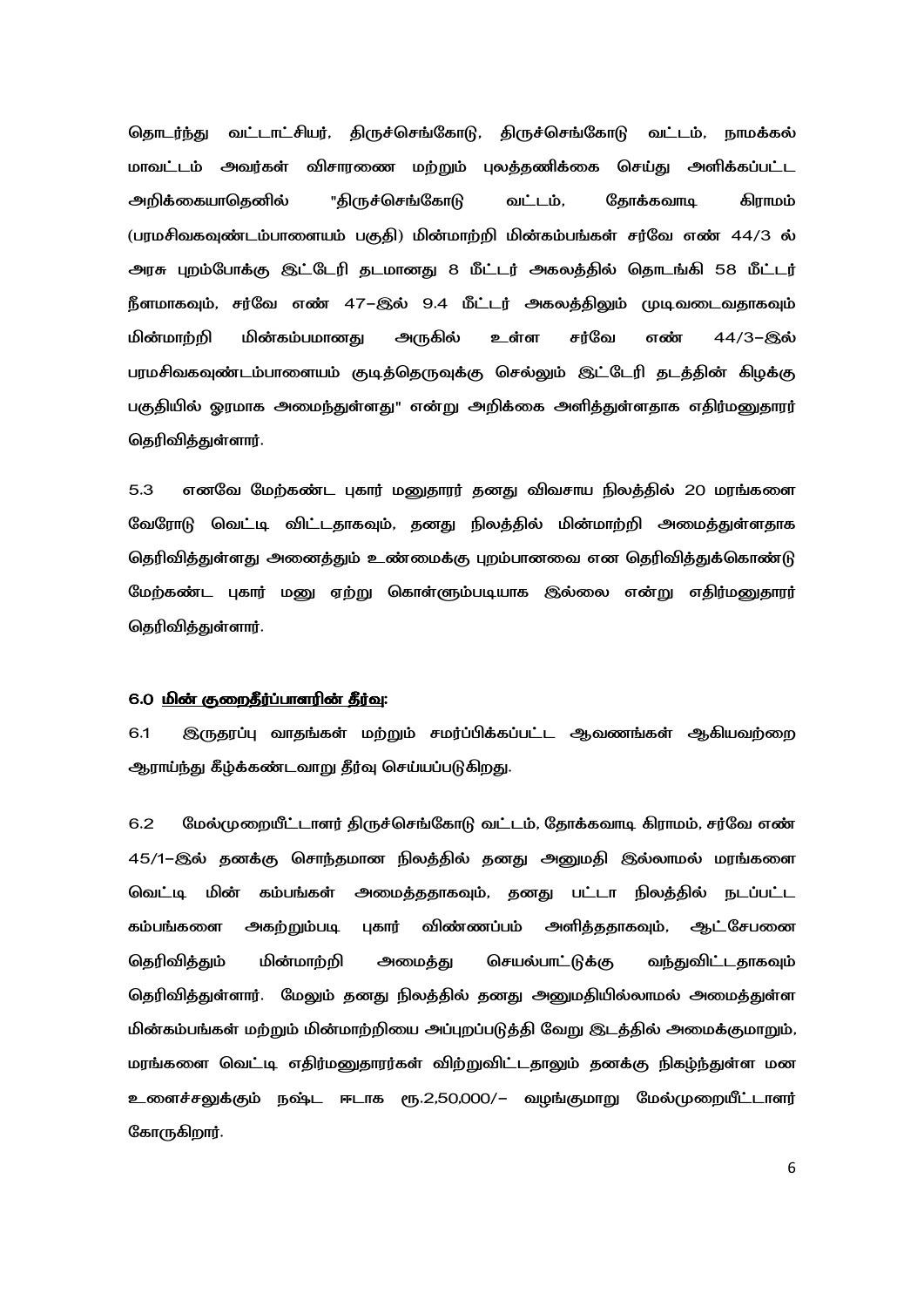தொடர்ந்து வட்டாட்சியர், திருச்செங்கோடு, திருச்செங்கோடு வட்டம், நாமக்கல் மாவட்டம் அவர்கள் விசாரணை மற்றும் புலத்தணிக்கை செய்து அளிக்கப்பட்ட அறிக்கையாகெனில் "திருச்செங்கோடு வட்டம். கோக்கவாடி மொரிக் (பரமசிவகவுண்டம்பாளையம் பகுதி) மின்மாற்றி மின்கம்பங்கள் சர்வே எண் 44/3 ல் அரசு புறம்போக்கு இட்டேரி தடமானது 8 மீட்டர் அகலத்தில் தொடங்கி 58 மீட்டர் நீளமாகவும், சர்வே எண் 47–இல் 9.4 மீட்டர் அகலத்திலும் முடிவடைவதாகவும் மின்மாற்றி மின்கம்பமானது அருகில் சர்வே எண் 44/3-இல் உள்ள பரமசிவகவுண்டம்பாளையம் குடித்தொுவுக்கு செல்லும் இட்டேரி தடத்தின் கிழக்கு பகுதியில் ஓரமாக அமைந்துள்ளது" என்று அறிக்கை அளித்துள்ளதாக எதிர்மனுதாரர் கெரிவிக்குள்ளார்.

எனவே மேற்கண்ட புகார் மனுதாரர் தனது விவசாய நிலத்தில் 20 மரங்களை  $5.3$ வேரோடு வெட்டி விட்டதாகவும், தனது நிலத்தில் மின்மாற்றி அமைத்துள்ளதாக தெரிவித்துள்ளது அனைத்தும் உண்மைக்கு புறம்பானவை என தெரிவித்துக்கொண்டு மேற்கண்ட புகார் மனு ஏற்று கொள்ளும்படியாக இல்லை என்று எதிர்மனுதாரர் கெரிவிக்குள்ளார்.

### 6.0 மின் குறைதீர்ப்பாளரின் தீர்வு:

6.1 இருதரப்பு வாதங்கள் மற்றும் சமர்ப்பிக்கப்பட்ட ஆவணங்கள் ஆகியவற்றை ஆராய்ந்து கீழ்க்கண்டவாறு தீர்வு செய்யப்படுகிறது.

மேல்முறையீட்டாளர் திருச்செங்கோடு வட்டம், தோக்கவாடி கிராமம், சர்வே எண்  $6.2$ 45/1–இல் தனக்கு சொந்தமான நிலத்தில் தனது அனுமதி இல்லாமல் மரங்களை வெட்டி மின் கம்பங்கள் அமைக்கதாகவும், கனது பட்டா நிலக்கில் நடப்பட்ட கம்பங்களை அகற்றும்படி புகார் விண்ணப்பம் அளித்ததாகவும், ஆட்சேபனை கொிவிக்கம் மின்மாற்றி செயல்பாட்டுக்கு வந்துவிட்டதாகவம் அமைக்கு தெரிவித்துள்ளார். மேலும் தனது நிலத்தில் தனது அனுமதியில்லாமல் அமைத்துள்ள மின்கம்பங்கள் மற்றும் மின்மாற்றியை அப்புறப்படுத்தி வேறு இடத்தில் அமைக்குமாறும், மரங்களை வெட்டி எதிர்மனுதாரர்கள் விற்றுவிட்டதாலும் தனக்கு நிகழ்ந்துள்ள மன உளைச்சலுக்கும் நஷ்ட ஈடாக ரூ.2,50,000/– வழங்குமாறு மேல்முறையீட்டாளர் கோருகிறார்.

6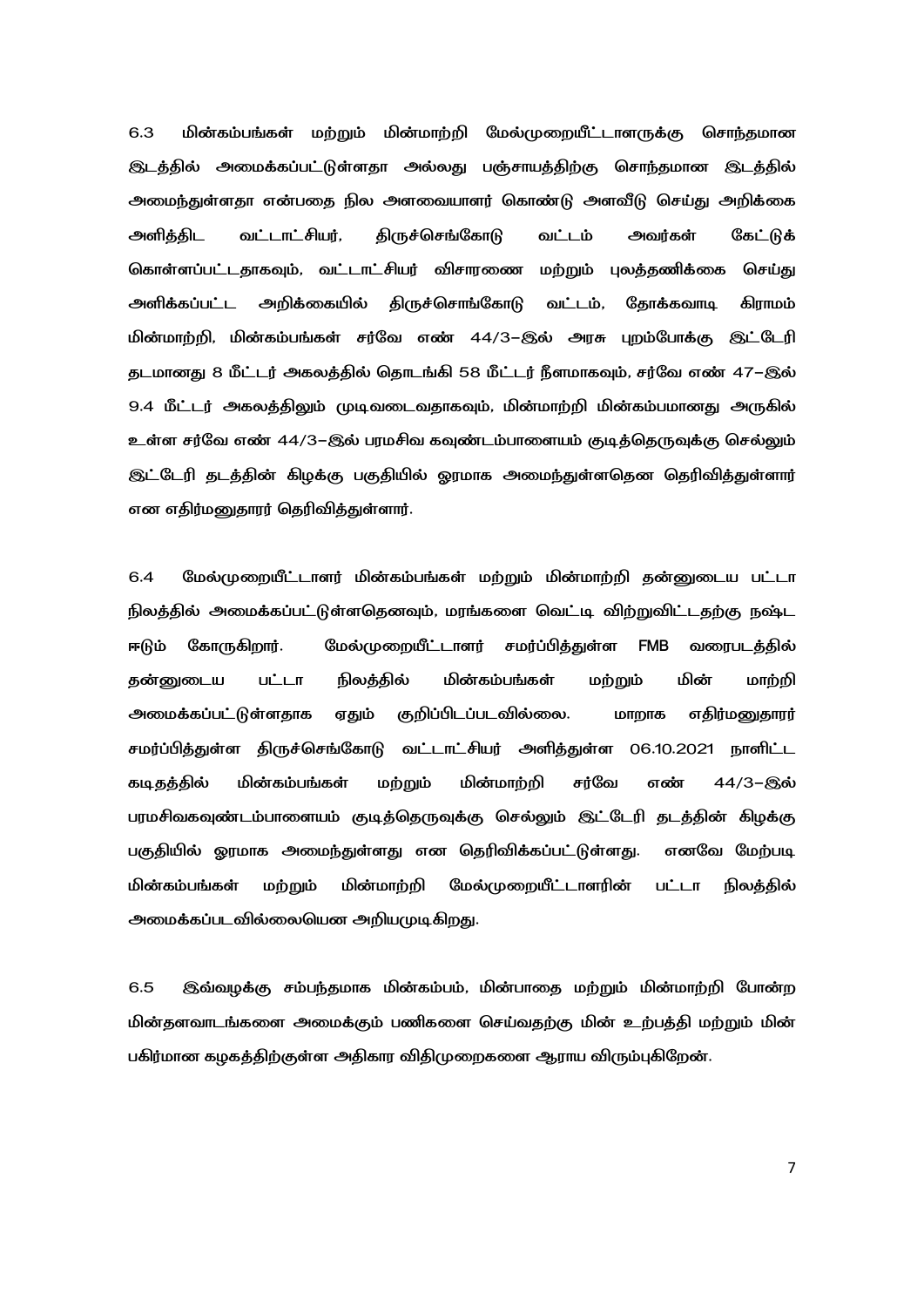மின்கம்பங்கள் மற்றும் மின்மாற்றி மேல்முறையீட்டாளருக்கு சொந்தமான  $6.3$ இடத்தில் அமைக்கப்பட்டுள்ளதா அல்லது பஞ்சாயத்திற்கு சொந்தமான இடத்தில் அமைந்துள்ளதா என்பதை நில அளவையாளர் கொண்டு அளவீடு செய்து அறிக்கை **திருச்செங்கோடு** அளிக்கிட வட்டாட்சியர், வட்டம் அவர்கள் கேட்டுக் கொள்ளப்பட்டதாகவும், வட்டாட்சியர் விசாரணை மற்றும் புலத்தணிக்கை செய்து அளிக்கப்பட்ட அறிக்கையில் திருச்சொங்கோடு வட்டம், தோக்கவாடி கிராமம் மின்மாற்றி, மின்கம்பங்கள் சர்வே எண் 44/3–இல் அரசு புறம்போக்கு இட்டேரி தடமானது 8 மீட்டர் அகலத்தில் தொடங்கி 58 மீட்டர் நீளமாகவும், சர்வே எண் 47–இல் 9.4 மீட்டர் அகலத்திலும் முடிவடைவதாகவும், மின்மாற்றி மின்கம்பமானது அருகில் உள்ள சர்வே எண் 44/3–இல் பரமசிவ கவுண்டம்பாளையம் குடித்தெருவுக்கு செல்லும் இட்டேரி தடத்தின் கிழக்கு பகுதியில் ஓரமாக அமைந்துள்ளதென தெரிவித்துள்ளார் என எதிர்மனுதாரர் தெரிவித்துள்ளார்.

மேல்முறையீட்டாளர் மின்கம்பங்கள் மற்றும் மின்மாற்றி தன்னுடைய பட்டா 6.4 நிலத்தில் அமைக்கப்பட்டுள்ளதெனவும், மரங்களை வெட்டி விற்றுவிட்டதற்கு நஷ்ட ஈடும் கோருகிறார். மேல்முறையீட்டாளர் சமர்ப்பித்துள்ள FMB வரைபடத்தில் தன்னுடைய பட்டா நிலத்தில் மின்கம்பங்கள் மற்றும் மின் மாற்றி **அமைக்கப்பட்டுள்ளகாக** ஏதும் குறிப்பிடப்படவில்லை. மாறாக எதிர்மனுதாரர் சமர்ப்பித்துள்ள திருச்செங்கோடு வட்டாட்சியர் அளித்துள்ள 06.10.2021 நாளிட்ட மின்மாற்றி கடிதத்தில் மின்கம்பங்கள் மற்றும் சர்வே எண் 44/3-இல் பரமசிவகவுண்டம்பாளையம் குடித்தொுவுக்கு செல்லும் இட்டேரி தடத்தின் கிழக்கு பகுதியில் ஓரமாக அமைந்துள்ளது என தெரிவிக்கப்பட்டுள்ளது. எனவே மேற்படி மின்கம்பங்கள் மற்றும் மின்மாற்றி மேல்முறையீட்டாளரின் நிலத்தில் பட்டா அமைக்கப்படவில்லையென அறியமுடிகிறது.

6.5 இவ்வழக்கு சம்பந்தமாக மின்கம்பம், மின்பாதை மற்றும் மின்மாற்றி போன்ற மின்தளவாடங்களை அமைக்கும் பணிகளை செய்வதற்கு மின் உற்பத்தி மற்றும் மின் பகிர்மான கழகத்திற்குள்ள அதிகார விதிமுறைகளை ஆராய விரும்புகிறேன்.

 $\overline{7}$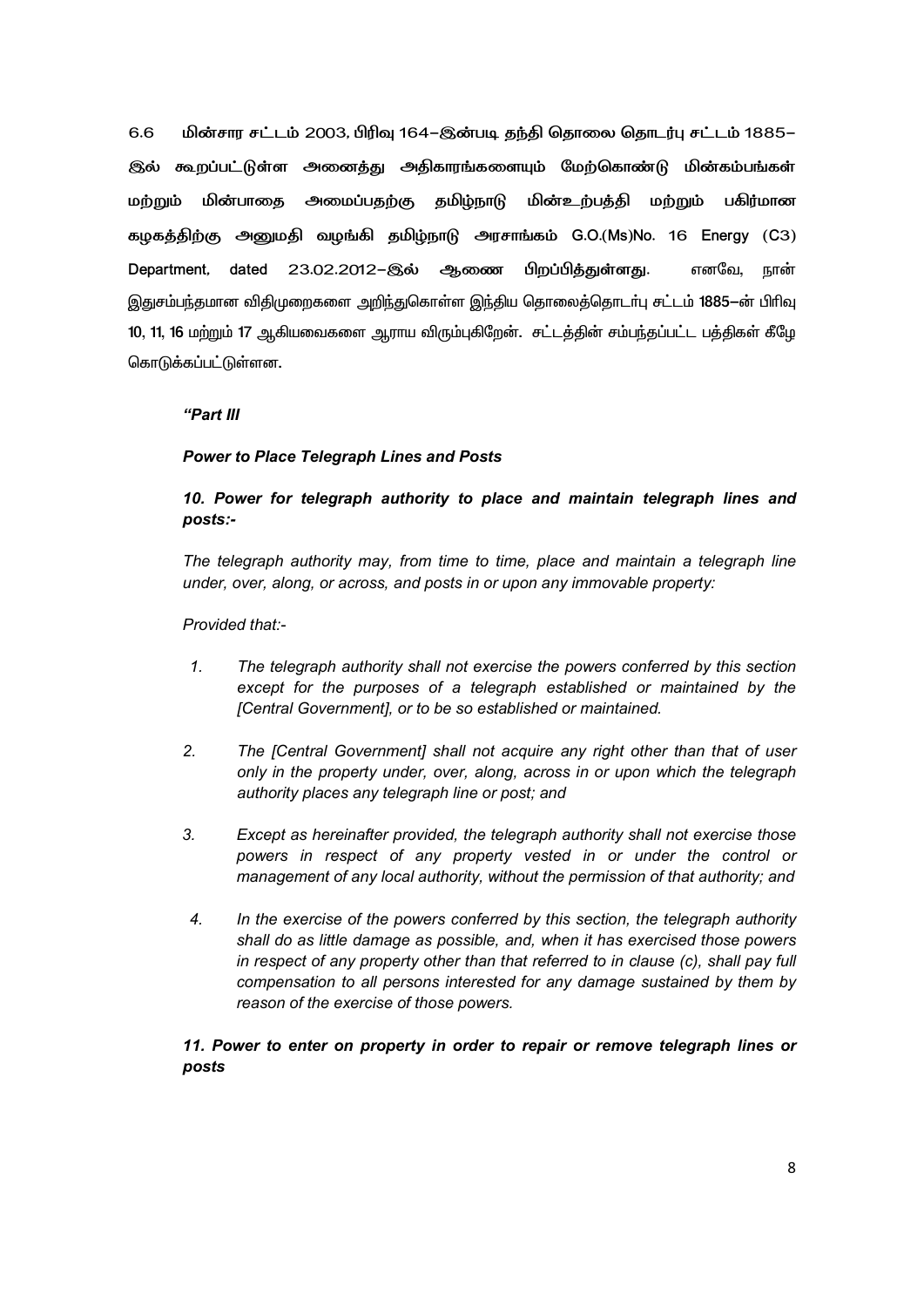6.6 மின்சார சட்டம் 2003, பிரிவு 164–இன்படி தந்தி தொலை தொடர்பு சட்டம் 1885– இல் கூறப்பட்டுள்ள அனைத்து அதிகாரங்களையும் மேற்கொண்டு மின்கம்பங்கள்  $\mathbf u$ m. The  $\mathbf u$ மின்பாதை அமைப்பதற்கு தமிழ்நாடு மின்உற்பத்தி மற்றும் பகிர்மான கழகத்திற்கு அனுமதி வழங்கி தமிழ்நாடு அரசாங்கம் G.O.(Ms)No. 16 Energy (C3) Department, dated 23.02.2012–இல் ஆணை பிறப்பித்துள்ளது. எனவே, நான் இதுசம்பந்தமான விதிமுறைகளை அறிந்துகொள்ள இந்திய தொலைத்தொடர்பு சட்டம் 1885-ன் பிரிவு 10, 11, 16 மற்றும் 17 ஆகியவைகளை ஆராய விரும்புகிறேன். சட்டத்தின் சம்பந்தப்பட்ட பத்திகள் கீழே கொடுக்கப்பட்டுள்ளன.

### *"Part III*

### *Power to Place Telegraph Lines and Posts*

## *10. Power for telegraph authority to place and maintain telegraph lines and posts:-*

*The telegraph authority may, from time to time, place and maintain a telegraph line under, over, along, or across, and posts in or upon any immovable property:* 

*Provided that:-* 

- *1. The telegraph authority shall not exercise the powers conferred by this section except for the purposes of a telegraph established or maintained by the [Central Government], or to be so established or maintained.*
- *2. The [Central Government] shall not acquire any right other than that of user only in the property under, over, along, across in or upon which the telegraph authority places any telegraph line or post; and*
- *3. Except as hereinafter provided, the telegraph authority shall not exercise those powers in respect of any property vested in or under the control or management of any local authority, without the permission of that authority; and*
- *4. In the exercise of the powers conferred by this section, the telegraph authority shall do as little damage as possible, and, when it has exercised those powers in respect of any property other than that referred to in clause (c), shall pay full compensation to all persons interested for any damage sustained by them by reason of the exercise of those powers.*

*11. Power to enter on property in order to repair or remove telegraph lines or posts*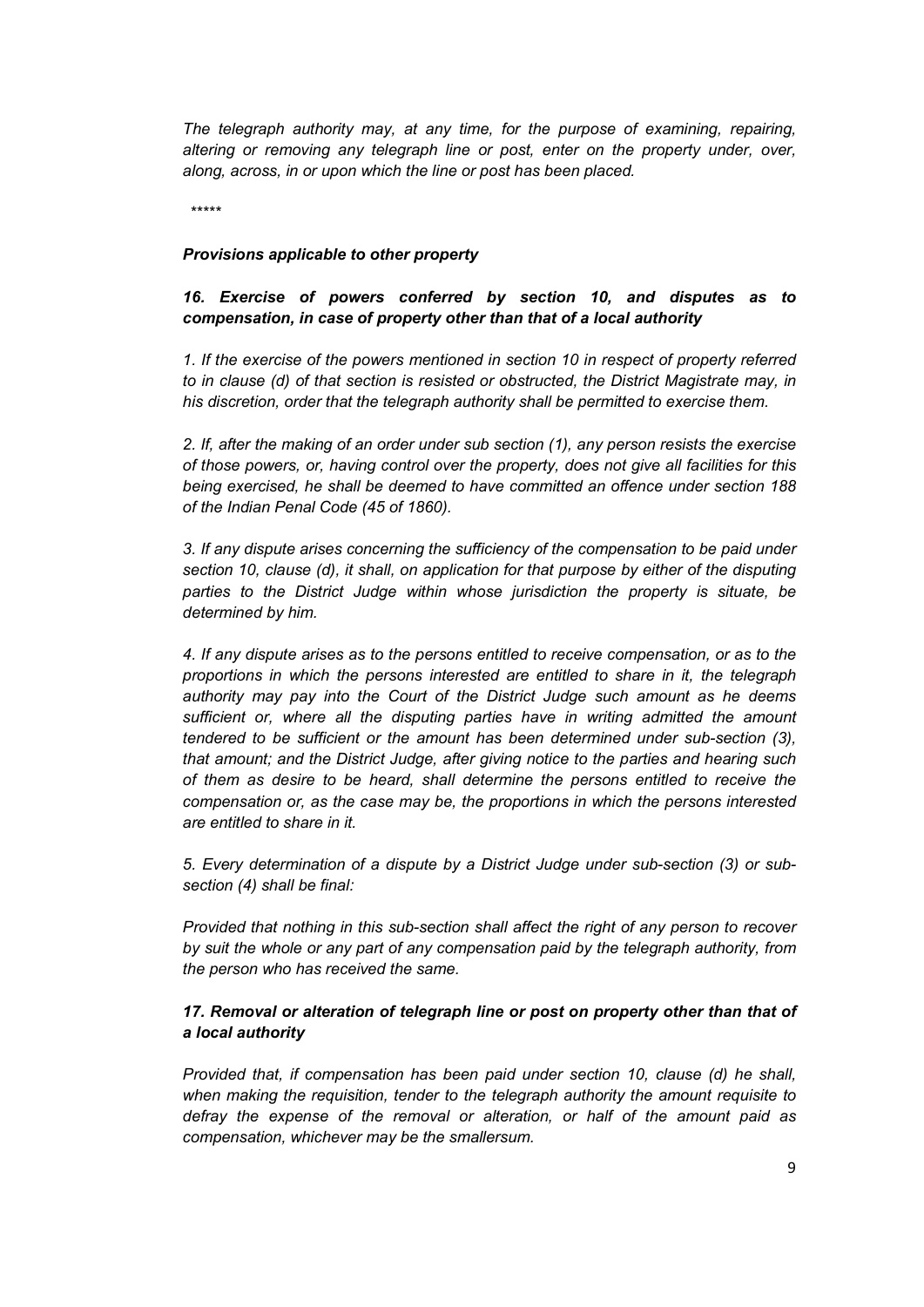*The telegraph authority may, at any time, for the purpose of examining, repairing, altering or removing any telegraph line or post, enter on the property under, over, along, across, in or upon which the line or post has been placed.* 

*\*\*\*\*\** 

### *Provisions applicable to other property*

## *16. Exercise of powers conferred by section 10, and disputes as to compensation, in case of property other than that of a local authority*

*1. If the exercise of the powers mentioned in section 10 in respect of property referred to in clause (d) of that section is resisted or obstructed, the District Magistrate may, in his discretion, order that the telegraph authority shall be permitted to exercise them.* 

*2. If, after the making of an order under sub section (1), any person resists the exercise of those powers, or, having control over the property, does not give all facilities for this being exercised, he shall be deemed to have committed an offence under section 188 of the Indian Penal Code (45 of 1860).* 

*3. If any dispute arises concerning the sufficiency of the compensation to be paid under section 10, clause (d), it shall, on application for that purpose by either of the disputing parties to the District Judge within whose jurisdiction the property is situate, be determined by him.* 

*4. If any dispute arises as to the persons entitled to receive compensation, or as to the proportions in which the persons interested are entitled to share in it, the telegraph authority may pay into the Court of the District Judge such amount as he deems sufficient or, where all the disputing parties have in writing admitted the amount tendered to be sufficient or the amount has been determined under sub-section (3), that amount; and the District Judge, after giving notice to the parties and hearing such of them as desire to be heard, shall determine the persons entitled to receive the compensation or, as the case may be, the proportions in which the persons interested are entitled to share in it.* 

*5. Every determination of a dispute by a District Judge under sub-section (3) or subsection (4) shall be final:* 

*Provided that nothing in this sub-section shall affect the right of any person to recover by suit the whole or any part of any compensation paid by the telegraph authority, from the person who has received the same.* 

## *17. Removal or alteration of telegraph line or post on property other than that of a local authority*

*Provided that, if compensation has been paid under section 10, clause (d) he shall, when making the requisition, tender to the telegraph authority the amount requisite to defray the expense of the removal or alteration, or half of the amount paid as compensation, whichever may be the smallersum.*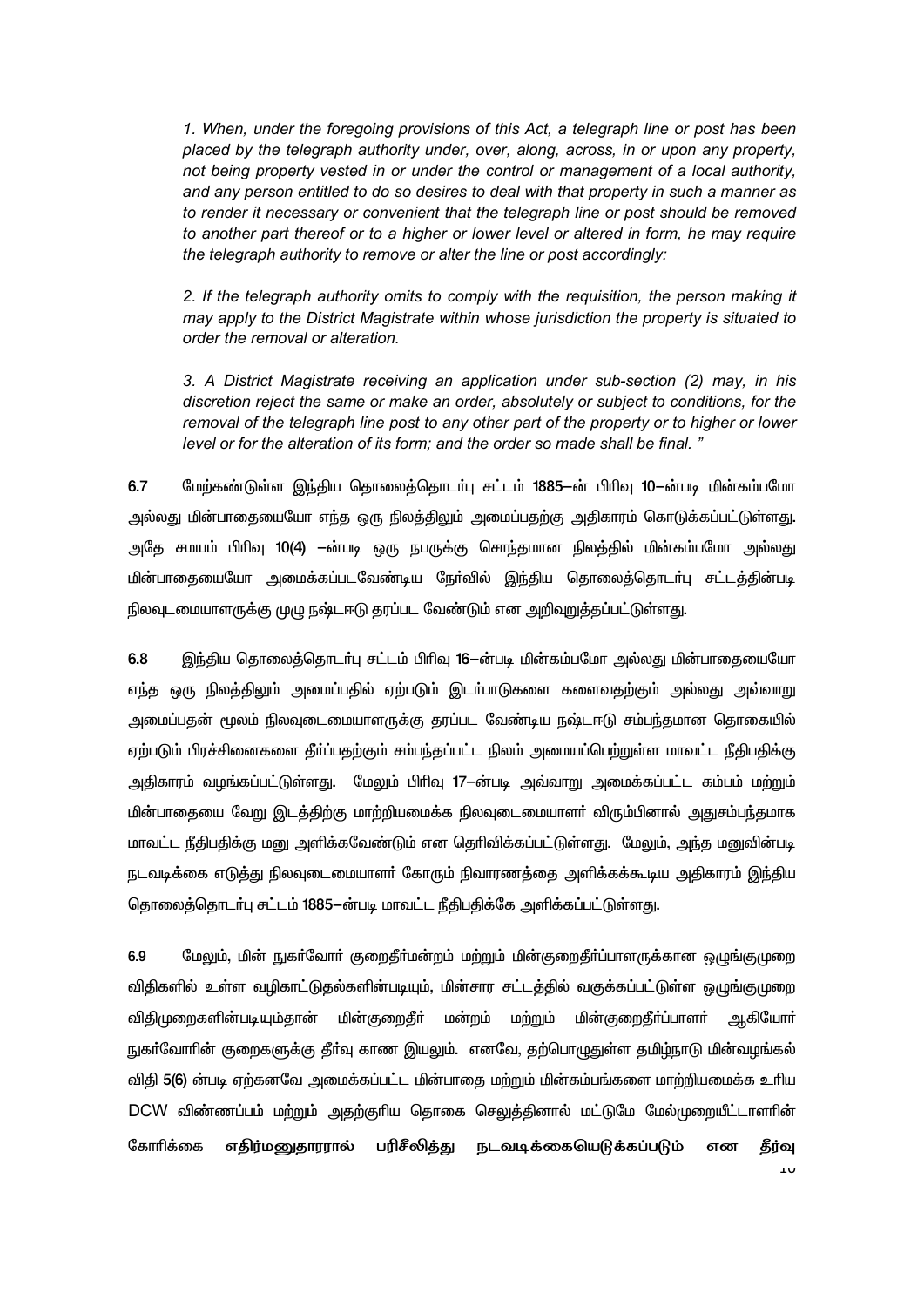1. When, under the foregoing provisions of this Act, a telegraph line or post has been placed by the telegraph authority under, over, along, across, in or upon any property. not being property vested in or under the control or management of a local authority. and any person entitled to do so desires to deal with that property in such a manner as to render it necessary or convenient that the telegraph line or post should be removed to another part thereof or to a higher or lower level or altered in form, he may require the telegraph authority to remove or alter the line or post accordingly:

2. If the telegraph authority omits to comply with the requisition, the person making it may apply to the District Magistrate within whose jurisdiction the property is situated to order the removal or alteration.

3. A District Magistrate receiving an application under sub-section (2) may, in his discretion reject the same or make an order, absolutely or subject to conditions, for the removal of the telegraph line post to any other part of the property or to higher or lower level or for the alteration of its form; and the order so made shall be final."

6.7 மேற்கண்டுள்ள இந்திய தொலைத்தொடர்பு சட்டம் 1885—ன் பிரிவு 10—ன்படி மின்கம்பமோ அல்லது மின்பாதையையோ எந்த ஒரு நிலத்திலும் அமைப்பதற்கு அதிகாரம் கொடுக்கப்பட்டுள்ளது. அதே சமயம் பிரிவு 10(4) —ன்படி ஒரு நபருக்கு சொந்தமான நிலத்தில் மின்கம்பமோ அல்லது மின்பாதையையோ அமைக்கப்படவேண்டிய நேர்வில் இந்திய தொலைத்தொடர்பு சட்டத்தின்படி நிலவுடமையாளருக்கு முழு நஷ்டஈடு தரப்பட வேண்டும் என அறிவுறத்தப்பட்டுள்ளது.

6.8 இந்திய தொலைத்தொடா்பு சட்டம் பிரிவு 16—ன்படி மின்கம்பமோ அல்லது மின்பாதையையோ எந்த ஒரு நிலத்திலும் அமைப்பதில் ஏற்படும் இடா்பாடுகளை களைவதற்கும் அல்லது அவ்வாறு அமைப்பதன் மூலம் நிலவுடைமையாளருக்கு தரப்பட வேண்டிய நஷ்டஈடு சம்பந்தமான தொகையில் ஏற்படும் பிரச்சினைகளை தீர்ப்பதற்கும் சம்பந்தப்பட்ட நிலம் அமையப்பெற்றுள்ள மாவட்ட நீதிபதிக்கு அதிகாரம் வழங்கப்பட்டுள்ளது. மேலும் பிரிவு 17–ன்படி அவ்வாறு அமைக்கப்பட்ட கம்பம் மற்றும் மின்பாதையை வேறு இடத்திற்கு மாற்றியமைக்க நிலவுடைமையாளர் விரும்பினால் அதுசம்பந்தமாக மாவட்ட நீதிபதிக்கு மனு அளிக்கவேண்டும் என தெரிவிக்கப்பட்டுள்ளது. மேலும், அந்த மனுவின்படி நடவடிக்கை எடுத்து நிலவுடைமையாளா் கோரும் நிவாரணத்தை அளிக்கக்கூடிய அதிகாரம் இந்திய தொலைத்தொடர்பு சட்டம் 1885-ன்படி மாவட்ட நீதிபதிக்கே அளிக்கப்பட்டுள்ளது.

6.9 மேலும், மின் நுகர்வோர் குறைதீர்மன்றம் மற்றும் மின்குறைதீர்ப்பாளருக்கான ஒழுங்குமுறை விதிகளில் உள்ள வழிகாட்டுதல்களின்படியும். மின்சார சட்டத்தில் வகுக்கப்பட்டுள்ள ஒழுங்குமுறை விதிமுறைகளின்படியும்தான் மின்குறைதீா் மன்றம் மற்றும் மின்குறைதீா்ப்பாளா் <u>ஆகியோா்</u> நுகா்வோாின் குறைகளுக்கு தீா்வு காண இயலும். எனவே, தற்பொழுதுள்ள தமிழ்நாடு மின்வழங்கல் விதி 5(6) ன்படி ஏற்கனவே அமைக்கப்பட்ட மின்பாதை மற்றும் மின்கம்பங்களை மாற்றியமைக்க உரிய DCW விண்ணப்பம் மற்றும் அதற்குரிய தொகை செலுத்தினால் மட்டுமே மேல்முறையீட்டாளரின் கோரிக்கை எதிர்மனுதாரரால் **பரிசீலித்து நடவடிக்கையெடுக்கப்படும்** என கீர்வ  $\cdots$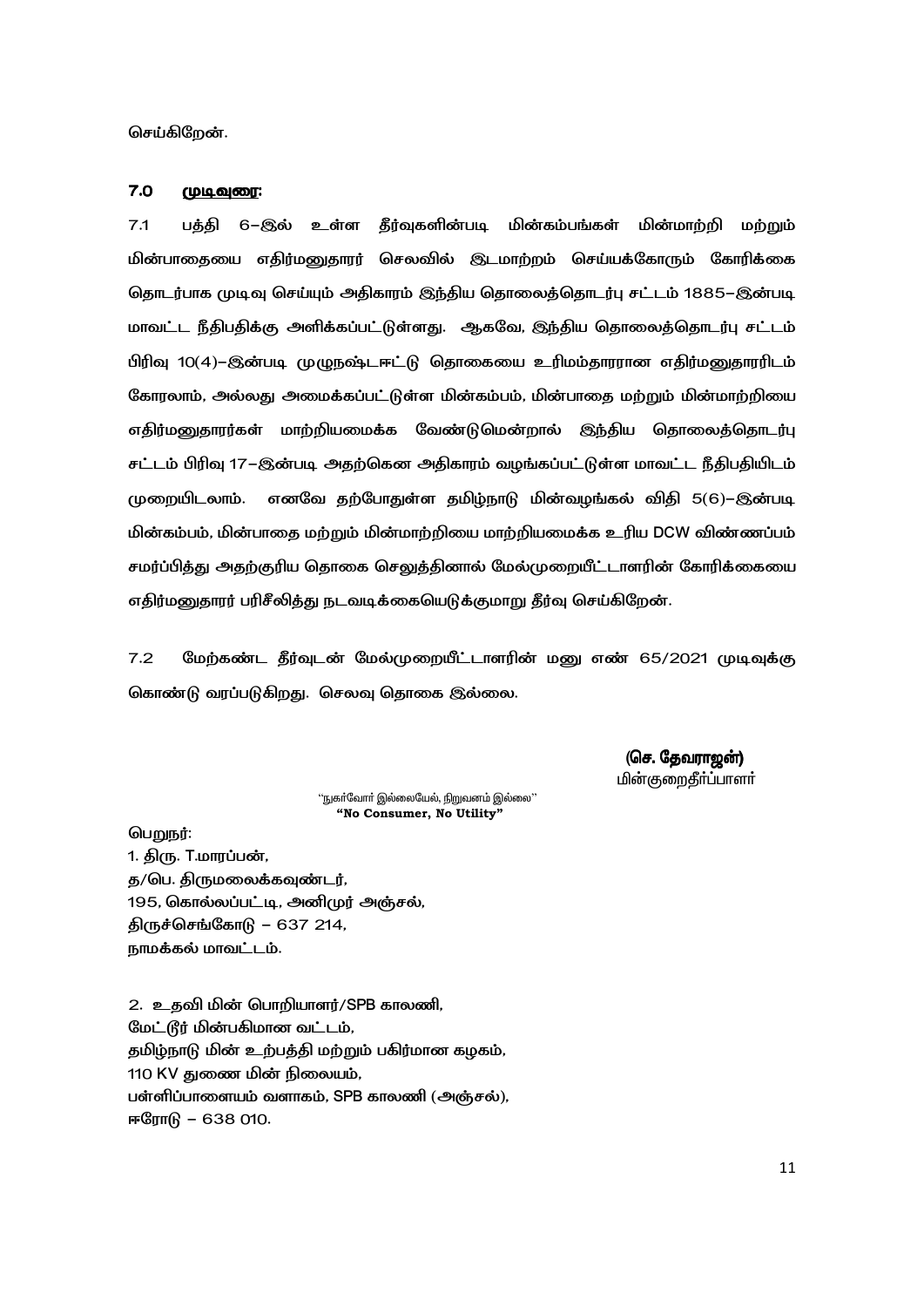செய்கிறேன்.

#### $7.0$ (முடிவுரை:

 $7.1$ 6–இல் உள்ள தீர்வுகளின்படி மின்கம்பங்கள் மின்மாற்றி பக்கி மற்றும் மின்பாதையை எதிர்மனுதாரர் செலவில் இடமாற்றம் செய்யக்கோரும் கோரிக்கை தொடர்பாக முடிவு செய்யும் அதிகாரம் இந்திய தொலைத்தொடர்பு சட்டம் 1885–இன்படி மாவட்ட நீதிபதிக்கு அளிக்கப்பட்டுள்ளது. ஆகவே, இந்திய தொலைத்தொடர்பு சட்டம் பிரிவு 10(4)–இன்படி முழுநஷ்டஈட்டு தொகையை உரிமம்தாரரான எதிர்மனுதாரரிடம் கோரலாம், அல்லது அமைக்கப்பட்டுள்ள மின்கம்பம், மின்பாதை மற்றும் மின்மாற்றியை எதிர்மனுதாரர்கள் மாற்றியமைக்க வேண்டுமென்றால் இந்திய தொலைத்தொடர்பு சட்டம் பிரிவு 17–இன்படி அதற்கென அதிகாரம் வழங்கப்பட்டுள்ள மாவட்ட நீதிபதியிடம் முறையிடலாம். எனவே தற்போதுள்ள தமிழ்நாடு மின்வழங்கல் விதி 5(6)–இன்படி மின்கம்பம், மின்பாதை மற்றும் மின்மாற்றியை மாற்றியமைக்க உரிய DCW விண்ணப்பம் சமர்ப்பித்து அதற்குரிய தொகை செலுத்தினால் மேல்முறையீட்டாளரின் கோரிக்கையை எதிர்மனுதாரர் பரிசீலித்து நடவடிக்கையெடுக்குமாறு தீர்வு செய்கிறேன்.

 $7.2$ மேற்கண்ட தீர்வுடன் மேல்முறையீட்டாளரின் மனு எண் 65/2021 முடிவுக்கு கொண்டு வரப்படுகிறது. செலவு தொகை இல்லை.

> (செ. தேவராஜன்) <u>மின்குறைதீர்ப்பாளர்</u>

 $\lq$ ்நுகா்வோா் இல்லையேல், நிறுவனம் இல்லை $\lq$ "No Consumer, No Utility"

பெறுநர்:

1. திரு. T.மாரப்பன், த/பெ. திருமலைக்கவுண்டர், 195, கொல்லப்பட்டி, அனிமுர் அஞ்சல், திருச்செங்கோடு – 637 214, நாமக்கல் மாவட்டம்.

2. உதவி மின் பொறியாளர்/SPB காலணி, மேட்டூர் மின்பகிமான வட்டம், தமிழ்நாடு மின் உற்பத்தி மற்றும் பகிர்மான கழகம், 110 KV துணை மின் நிலையம், பள்ளிப்பாளையம் வளாகம், SPB காலணி (அஞ்சல்), ஈரோடு – 638 010.